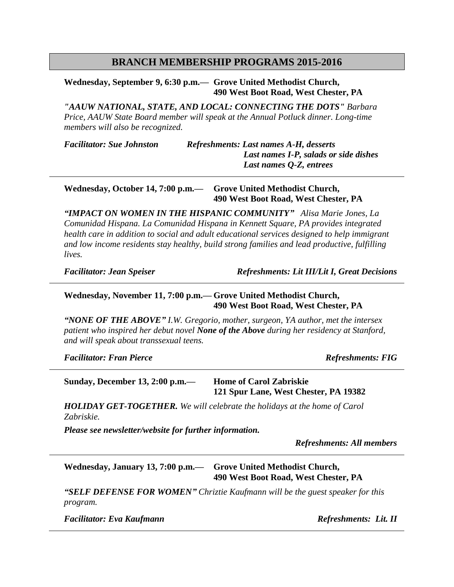# **BRANCH MEMBERSHIP PROGRAMS 2015-2016**

**Wednesday, September 9, 6:30 p.m.— Grove United Methodist Church, 490 West Boot Road, West Chester, PA**

*"AAUW NATIONAL, STATE, AND LOCAL: CONNECTING THE DOTS" Barbara Price, AAUW State Board member will speak at the Annual Potluck dinner. Long-time members will also be recognized.*

*Facilitator: Sue Johnston Refreshments: Last names A-H, desserts Last names I-P, salads or side dishes Last names Q-Z, entrees*

**Wednesday, October 14, 7:00 p.m.— Grove United Methodist Church, 490 West Boot Road, West Chester, PA**

*"IMPACT ON WOMEN IN THE HISPANIC COMMUNITY" Alisa Marie Jones, La Comunidad Hispana. La Comunidad Hispana in Kennett Square, PA provides integrated health care in addition to social and adult educational services designed to help immigrant and low income residents stay healthy, build strong families and lead productive, fulfilling lives.*

*Facilitator: Jean Speiser Refreshments: Lit III/Lit I, Great Decisions*

#### **Wednesday, November 11, 7:00 p.m.— Grove United Methodist Church, 490 West Boot Road, West Chester, PA**

*"NONE OF THE ABOVE" I.W. Gregorio, mother, surgeon, YA author, met the intersex patient who inspired her debut novel None of the Above during her residency at Stanford, and will speak about transsexual teens.* 

*Facilitator: Fran Pierce Refreshments: FIG*

**Sunday, December 13, 2:00 p.m.— Home of Carol Zabriskie 121 Spur Lane, West Chester, PA 19382**

*HOLIDAY GET-TOGETHER. We will celebrate the holidays at the home of Carol Zabriskie.*

*Please see newsletter/website for further information.*

*Refreshments: All members*

**Wednesday, January 13, 7:00 p.m.— Grove United Methodist Church, 490 West Boot Road, West Chester, PA**

*"SELF DEFENSE FOR WOMEN" Chriztie Kaufmann will be the guest speaker for this program.* 

*Facilitator: Eva Kaufmann Refreshments: Lit. II*